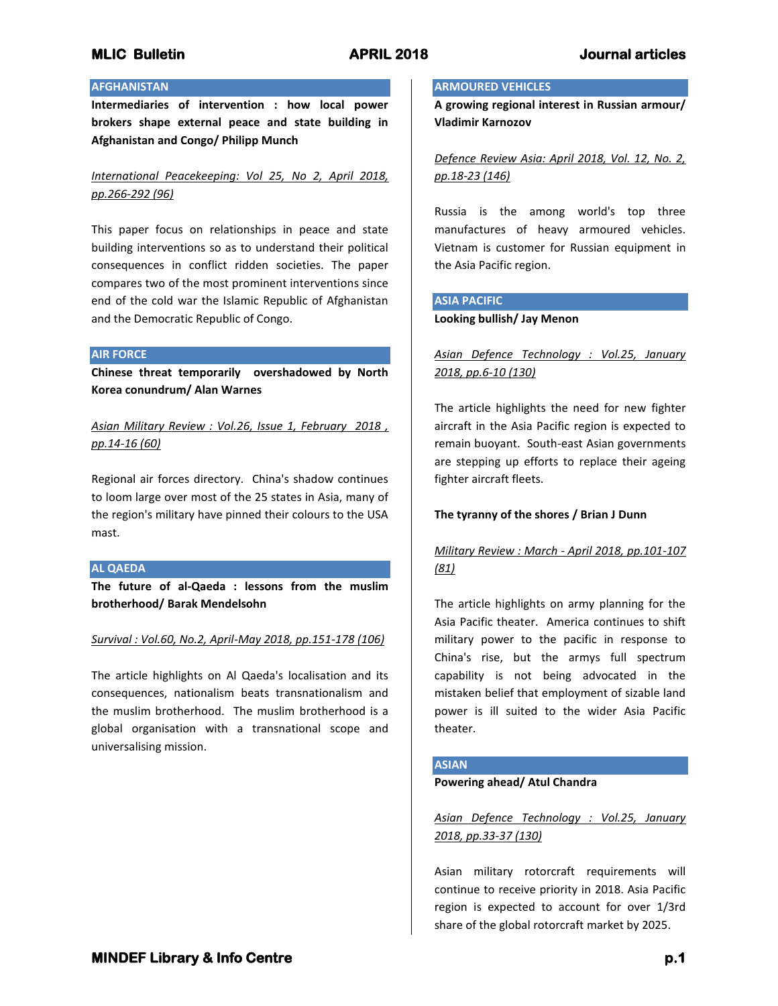# **AFGHANISTAN**

**Intermediaries of intervention : how local power brokers shape external peace and state building in Afghanistan and Congo/ Philipp Munch**

# *International Peacekeeping: Vol 25, No 2, April 2018, pp.266-292 (96)*

This paper focus on relationships in peace and state building interventions so as to understand their political consequences in conflict ridden societies. The paper compares two of the most prominent interventions since end of the cold war the Islamic Republic of Afghanistan and the Democratic Republic of Congo.

### **AIR FORCE**

**Chinese threat temporarily overshadowed by North Korea conundrum/ Alan Warnes**

*Asian Military Review : Vol.26, Issue 1, February 2018 , pp.14-16 (60)*

Regional air forces directory. China's shadow continues to loom large over most of the 25 states in Asia, many of the region's military have pinned their colours to the USA mast.

## **AL QAEDA**

**The future of al-Qaeda : lessons from the muslim brotherhood/ Barak Mendelsohn**

## *Survival : Vol.60, No.2, April-May 2018, pp.151-178 (106)*

The article highlights on Al Qaeda's localisation and its consequences, nationalism beats transnationalism and the muslim brotherhood. The muslim brotherhood is a global organisation with a transnational scope and universalising mission.

### **ARMOURED VEHICLES**

**A growing regional interest in Russian armour/ Vladimir Karnozov**

*Defence Review Asia: April 2018, Vol. 12, No. 2, pp.18-23 (146)*

Russia is the among world's top three manufactures of heavy armoured vehicles. Vietnam is customer for Russian equipment in the Asia Pacific region.

## **ASIA PACIFIC**

### **Looking bullish/ Jay Menon**

*Asian Defence Technology : Vol.25, January 2018, pp.6-10 (130)*

The article highlights the need for new fighter aircraft in the Asia Pacific region is expected to remain buoyant. South-east Asian governments are stepping up efforts to replace their ageing fighter aircraft fleets.

## **The tyranny of the shores / Brian J Dunn**

# *Military Review : March - April 2018, pp.101-107 (81)*

The article highlights on army planning for the Asia Pacific theater. America continues to shift military power to the pacific in response to China's rise, but the armys full spectrum capability is not being advocated in the mistaken belief that employment of sizable land power is ill suited to the wider Asia Pacific theater.

## **ASIAN**

### **Powering ahead/ Atul Chandra**

*Asian Defence Technology : Vol.25, January 2018, pp.33-37 (130)*

Asian military rotorcraft requirements will continue to receive priority in 2018. Asia Pacific region is expected to account for over 1/3rd share of the global rotorcraft market by 2025.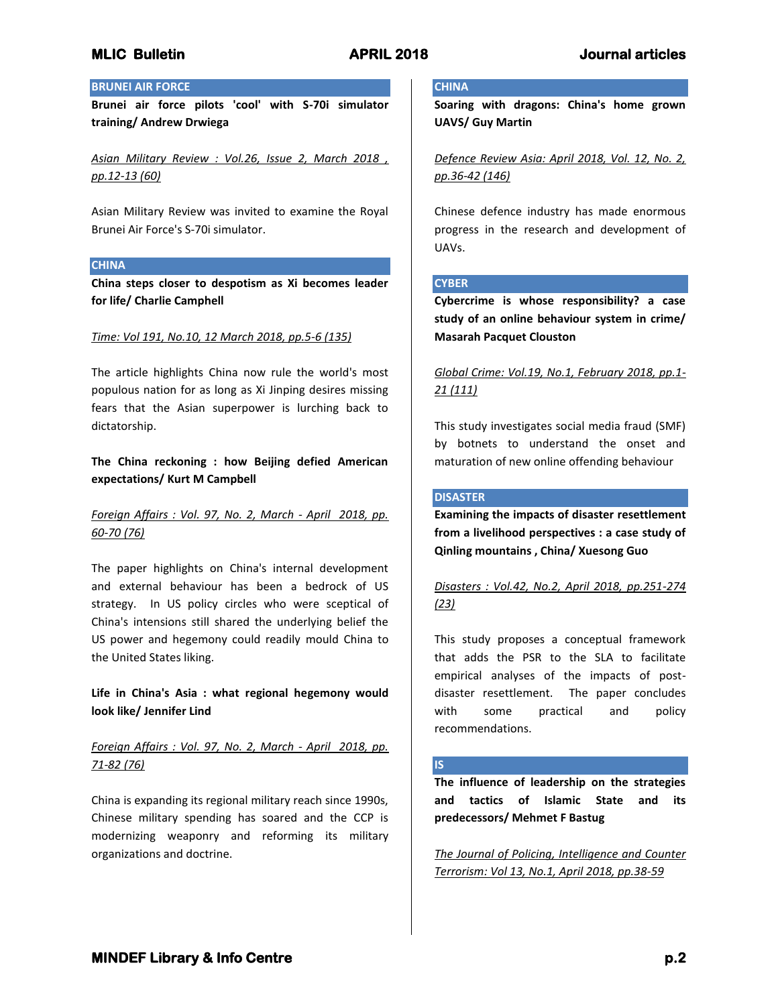## **BRUNEI AIR FORCE**

**Brunei air force pilots 'cool' with S-70i simulator training/ Andrew Drwiega**

*Asian Military Review : Vol.26, Issue 2, March 2018 , pp.12-13 (60)*

Asian Military Review was invited to examine the Royal Brunei Air Force's S-70i simulator.

### **CHINA**

**China steps closer to despotism as Xi becomes leader for life/ Charlie Camphell**

### *Time: Vol 191, No.10, 12 March 2018, pp.5-6 (135)*

The article highlights China now rule the world's most populous nation for as long as Xi Jinping desires missing fears that the Asian superpower is lurching back to dictatorship.

**The China reckoning : how Beijing defied American expectations/ Kurt M Campbell**

# *Foreign Affairs : Vol. 97, No. 2, March - April 2018, pp. 60-70 (76)*

The paper highlights on China's internal development and external behaviour has been a bedrock of US strategy. In US policy circles who were sceptical of China's intensions still shared the underlying belief the US power and hegemony could readily mould China to the United States liking.

**Life in China's Asia : what regional hegemony would look like/ Jennifer Lind**

# *Foreign Affairs : Vol. 97, No. 2, March - April 2018, pp. 71-82 (76)*

China is expanding its regional military reach since 1990s, Chinese military spending has soared and the CCP is modernizing weaponry and reforming its military organizations and doctrine.

### **CHINA**

**Soaring with dragons: China's home grown UAVS/ Guy Martin**

*Defence Review Asia: April 2018, Vol. 12, No. 2, pp.36-42 (146)*

Chinese defence industry has made enormous progress in the research and development of UAVs.

# **CYBER**

**Cybercrime is whose responsibility? a case study of an online behaviour system in crime/ Masarah Pacquet Clouston**

# *Global Crime: Vol.19, No.1, February 2018, pp.1- 21 (111)*

This study investigates social media fraud (SMF) by botnets to understand the onset and maturation of new online offending behaviour

# **DISASTER**

**Examining the impacts of disaster resettlement from a livelihood perspectives : a case study of Qinling mountains , China/ Xuesong Guo**

# *Disasters : Vol.42, No.2, April 2018, pp.251-274 (23)*

This study proposes a conceptual framework that adds the PSR to the SLA to facilitate empirical analyses of the impacts of postdisaster resettlement. The paper concludes with some practical and policy recommendations.

## **IS**

**The influence of leadership on the strategies and tactics of Islamic State and its predecessors/ Mehmet F Bastug**

*The Journal of Policing, Intelligence and Counter Terrorism: Vol 13, No.1, April 2018, pp.38-59*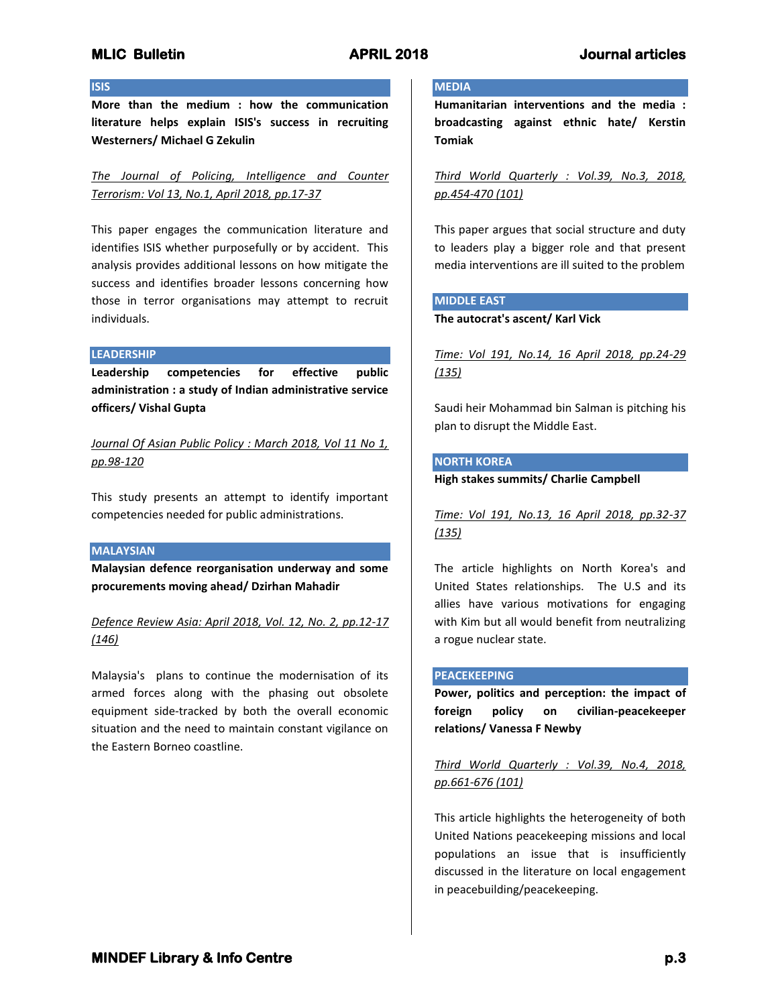## **ISIS**

**More than the medium : how the communication literature helps explain ISIS's success in recruiting Westerners/ Michael G Zekulin**

*The Journal of Policing, Intelligence and Counter Terrorism: Vol 13, No.1, April 2018, pp.17-37*

This paper engages the communication literature and identifies ISIS whether purposefully or by accident. This analysis provides additional lessons on how mitigate the success and identifies broader lessons concerning how those in terror organisations may attempt to recruit individuals.

### **LEADERSHIP**

**Leadership competencies for effective public administration : a study of Indian administrative service officers/ Vishal Gupta**

*Journal Of Asian Public Policy : March 2018, Vol 11 No 1, pp.98-120*

This study presents an attempt to identify important competencies needed for public administrations.

## **MALAYSIAN**

**Malaysian defence reorganisation underway and some procurements moving ahead/ Dzirhan Mahadir**

*Defence Review Asia: April 2018, Vol. 12, No. 2, pp.12-17 (146)*

Malaysia's plans to continue the modernisation of its armed forces along with the phasing out obsolete equipment side-tracked by both the overall economic situation and the need to maintain constant vigilance on the Eastern Borneo coastline.

### **MEDIA**

**Humanitarian interventions and the media : broadcasting against ethnic hate/ Kerstin Tomiak**

*Third World Quarterly : Vol.39, No.3, 2018, pp.454-470 (101)*

This paper argues that social structure and duty to leaders play a bigger role and that present media interventions are ill suited to the problem

## **MIDDLE EAST**

**The autocrat's ascent/ Karl Vick**

*Time: Vol 191, No.14, 16 April 2018, pp.24-29 (135)*

Saudi heir Mohammad bin Salman is pitching his plan to disrupt the Middle East.

## **NORTH KOREA**

**High stakes summits/ Charlie Campbell**

*Time: Vol 191, No.13, 16 April 2018, pp.32-37 (135)*

The article highlights on North Korea's and United States relationships. The U.S and its allies have various motivations for engaging with Kim but all would benefit from neutralizing a rogue nuclear state.

### **PEACEKEEPING**

**Power, politics and perception: the impact of foreign policy on civilian-peacekeeper relations/ Vanessa F Newby**

*Third World Quarterly : Vol.39, No.4, 2018, pp.661-676 (101)*

This article highlights the heterogeneity of both United Nations peacekeeping missions and local populations an issue that is insufficiently discussed in the literature on local engagement in peacebuilding/peacekeeping.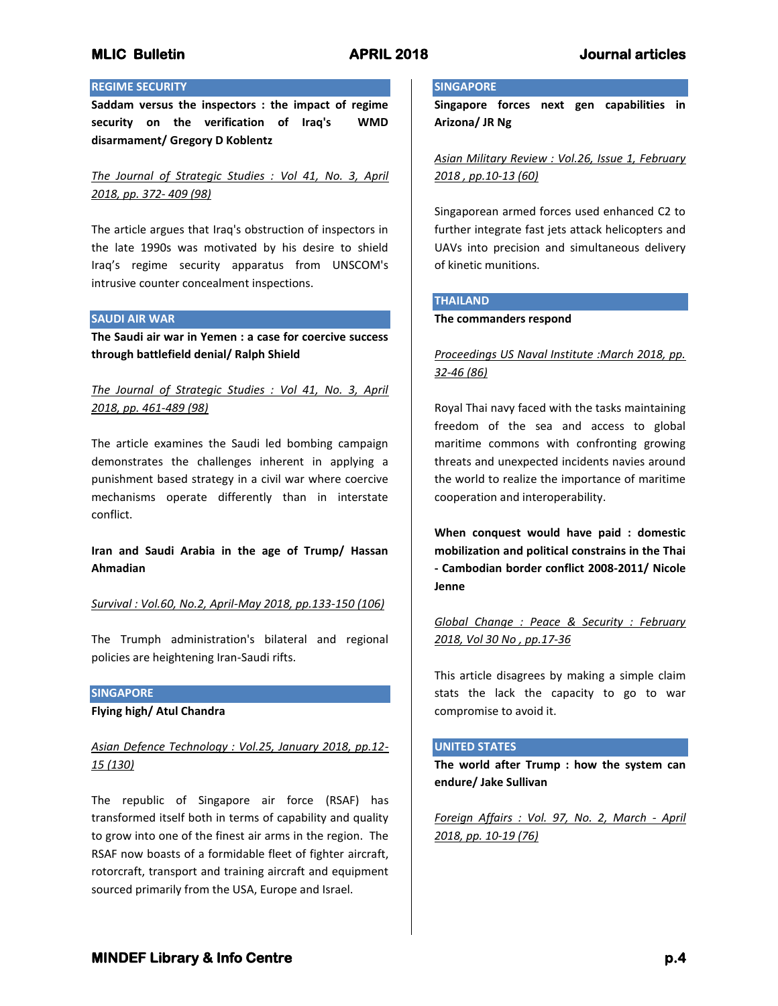## **REGIME SECURITY**

**Saddam versus the inspectors : the impact of regime security on the verification of Iraq's WMD disarmament/ Gregory D Koblentz**

*The Journal of Strategic Studies : Vol 41, No. 3, April 2018, pp. 372- 409 (98)*

The article argues that Iraq's obstruction of inspectors in the late 1990s was motivated by his desire to shield Iraq's regime security apparatus from UNSCOM's intrusive counter concealment inspections.

### **SAUDI AIR WAR**

**The Saudi air war in Yemen : a case for coercive success through battlefield denial/ Ralph Shield**

# *The Journal of Strategic Studies : Vol 41, No. 3, April 2018, pp. 461-489 (98)*

The article examines the Saudi led bombing campaign demonstrates the challenges inherent in applying a punishment based strategy in a civil war where coercive mechanisms operate differently than in interstate conflict.

**Iran and Saudi Arabia in the age of Trump/ Hassan Ahmadian**

*Survival : Vol.60, No.2, April-May 2018, pp.133-150 (106)*

The Trumph administration's bilateral and regional policies are heightening Iran-Saudi rifts.

### **SINGAPORE**

**Flying high/ Atul Chandra**

# *Asian Defence Technology : Vol.25, January 2018, pp.12- 15 (130)*

The republic of Singapore air force (RSAF) has transformed itself both in terms of capability and quality to grow into one of the finest air arms in the region. The RSAF now boasts of a formidable fleet of fighter aircraft, rotorcraft, transport and training aircraft and equipment sourced primarily from the USA, Europe and Israel.

### **SINGAPORE**

**Singapore forces next gen capabilities in Arizona/ JR Ng**

*Asian Military Review : Vol.26, Issue 1, February 2018 , pp.10-13 (60)*

Singaporean armed forces used enhanced C2 to further integrate fast jets attack helicopters and UAVs into precision and simultaneous delivery of kinetic munitions.

### **THAILAND**

### **The commanders respond**

*Proceedings US Naval Institute :March 2018, pp. 32-46 (86)*

Royal Thai navy faced with the tasks maintaining freedom of the sea and access to global maritime commons with confronting growing threats and unexpected incidents navies around the world to realize the importance of maritime cooperation and interoperability.

**When conquest would have paid : domestic mobilization and political constrains in the Thai - Cambodian border conflict 2008-2011/ Nicole Jenne**

*Global Change : Peace & Security : February 2018, Vol 30 No , pp.17-36*

This article disagrees by making a simple claim stats the lack the capacity to go to war compromise to avoid it.

### **UNITED STATES**

**The world after Trump : how the system can endure/ Jake Sullivan**

*Foreign Affairs : Vol. 97, No. 2, March - April 2018, pp. 10-19 (76)*